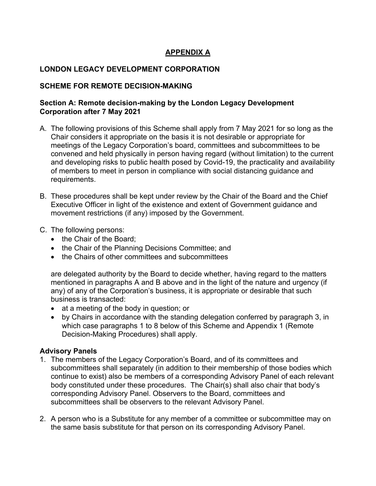# **APPENDIX A**

## **LONDON LEGACY DEVELOPMENT CORPORATION**

## **SCHEME FOR REMOTE DECISION-MAKING**

## **Section A: Remote decision-making by the London Legacy Development Corporation after 7 May 2021**

- A. The following provisions of this Scheme shall apply from 7 May 2021 for so long as the Chair considers it appropriate on the basis it is not desirable or appropriate for meetings of the Legacy Corporation's board, committees and subcommittees to be convened and held physically in person having regard (without limitation) to the current and developing risks to public health posed by Covid-19, the practicality and availability of members to meet in person in compliance with social distancing guidance and requirements.
- B. These procedures shall be kept under review by the Chair of the Board and the Chief Executive Officer in light of the existence and extent of Government guidance and movement restrictions (if any) imposed by the Government.
- C. The following persons:
	- the Chair of the Board;
	- the Chair of the Planning Decisions Committee; and
	- the Chairs of other committees and subcommittees

are delegated authority by the Board to decide whether, having regard to the matters mentioned in paragraphs A and B above and in the light of the nature and urgency (if any) of any of the Corporation's business, it is appropriate or desirable that such business is transacted:

- at a meeting of the body in question; or
- by Chairs in accordance with the standing delegation conferred by paragraph 3, in which case paragraphs 1 to 8 below of this Scheme and Appendix 1 (Remote Decision-Making Procedures) shall apply.

## **Advisory Panels**

- 1. The members of the Legacy Corporation's Board, and of its committees and subcommittees shall separately (in addition to their membership of those bodies which continue to exist) also be members of a corresponding Advisory Panel of each relevant body constituted under these procedures. The Chair(s) shall also chair that body's corresponding Advisory Panel. Observers to the Board, committees and subcommittees shall be observers to the relevant Advisory Panel.
- 2. A person who is a Substitute for any member of a committee or subcommittee may on the same basis substitute for that person on its corresponding Advisory Panel.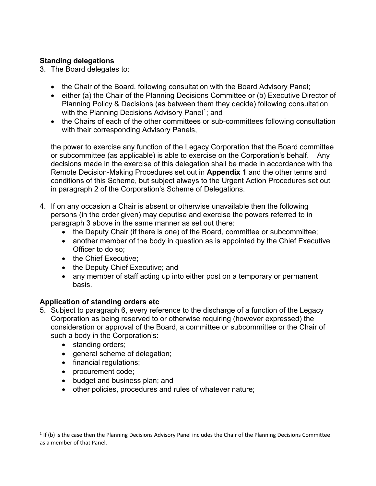# **Standing delegations**

- 3. The Board delegates to:
	- the Chair of the Board, following consultation with the Board Advisory Panel;
	- either (a) the Chair of the Planning Decisions Committee or (b) Executive Director of Planning Policy & Decisions (as between them they decide) following consultation with the Planning Decisions Advisory Panel<sup>[1](#page-1-0)</sup>; and
	- the Chairs of each of the other committees or sub-committees following consultation with their corresponding Advisory Panels,

the power to exercise any function of the Legacy Corporation that the Board committee or subcommittee (as applicable) is able to exercise on the Corporation's behalf. Any decisions made in the exercise of this delegation shall be made in accordance with the Remote Decision-Making Procedures set out in **Appendix 1** and the other terms and conditions of this Scheme, but subject always to the Urgent Action Procedures set out in paragraph 2 of the Corporation's Scheme of Delegations.

- 4. If on any occasion a Chair is absent or otherwise unavailable then the following persons (in the order given) may deputise and exercise the powers referred to in paragraph 3 above in the same manner as set out there:
	- the Deputy Chair (if there is one) of the Board, committee or subcommittee;
	- another member of the body in question as is appointed by the Chief Executive Officer to do so;
	- the Chief Executive:
	- the Deputy Chief Executive; and
	- any member of staff acting up into either post on a temporary or permanent basis.

# **Application of standing orders etc**

- 5. Subject to paragraph 6, every reference to the discharge of a function of the Legacy Corporation as being reserved to or otherwise requiring (however expressed) the consideration or approval of the Board, a committee or subcommittee or the Chair of such a body in the Corporation's:
	- standing orders;
	- general scheme of delegation;
	- financial regulations;
	- procurement code;
	- budget and business plan; and
	- other policies, procedures and rules of whatever nature;

<span id="page-1-0"></span> $1$  If (b) is the case then the Planning Decisions Advisory Panel includes the Chair of the Planning Decisions Committee as a member of that Panel.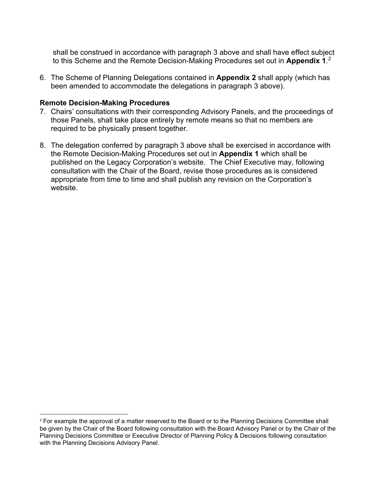shall be construed in accordance with paragraph 3 above and shall have effect subject to this Scheme and the Remote Decision-Making Procedures set out in **Appendix 1**. [2](#page-2-0)

6. The Scheme of Planning Delegations contained in **Appendix 2** shall apply (which has been amended to accommodate the delegations in paragraph 3 above).

### **Remote Decision-Making Procedures**

- 7. Chairs' consultations with their corresponding Advisory Panels, and the proceedings of those Panels, shall take place entirely by remote means so that no members are required to be physically present together.
- 8. The delegation conferred by paragraph 3 above shall be exercised in accordance with the Remote Decision-Making Procedures set out in **Appendix 1** which shall be published on the Legacy Corporation's website. The Chief Executive may, following consultation with the Chair of the Board, revise those procedures as is considered appropriate from time to time and shall publish any revision on the Corporation's website.

<span id="page-2-0"></span> $2$  For example the approval of a matter reserved to the Board or to the Planning Decisions Committee shall be given by the Chair of the Board following consultation with the Board Advisory Panel or by the Chair of the Planning Decisions Committee or Executive Director of Planning Policy & Decisions following consultation with the Planning Decisions Advisory Panel.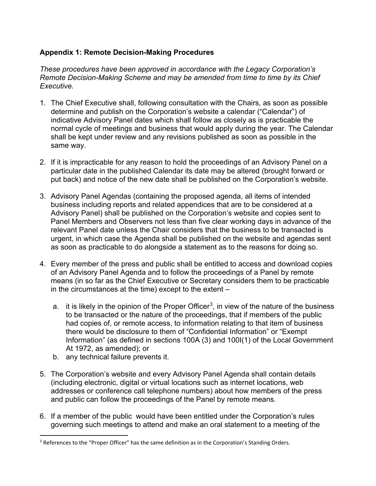# **Appendix 1: Remote Decision-Making Procedures**

*These procedures have been approved in accordance with the Legacy Corporation's Remote Decision-Making Scheme and may be amended from time to time by its Chief Executive.* 

- 1. The Chief Executive shall, following consultation with the Chairs, as soon as possible determine and publish on the Corporation's website a calendar ("Calendar") of indicative Advisory Panel dates which shall follow as closely as is practicable the normal cycle of meetings and business that would apply during the year. The Calendar shall be kept under review and any revisions published as soon as possible in the same way.
- 2. If it is impracticable for any reason to hold the proceedings of an Advisory Panel on a particular date in the published Calendar its date may be altered (brought forward or put back) and notice of the new date shall be published on the Corporation's website.
- 3. Advisory Panel Agendas (containing the proposed agenda, all items of intended business including reports and related appendices that are to be considered at a Advisory Panel) shall be published on the Corporation's website and copies sent to Panel Members and Observers not less than five clear working days in advance of the relevant Panel date unless the Chair considers that the business to be transacted is urgent, in which case the Agenda shall be published on the website and agendas sent as soon as practicable to do alongside a statement as to the reasons for doing so.
- 4. Every member of the press and public shall be entitled to access and download copies of an Advisory Panel Agenda and to follow the proceedings of a Panel by remote means (in so far as the Chief Executive or Secretary considers them to be practicable in the circumstances at the time) except to the extent –
	- a.  $\,$  it is likely in the opinion of the Proper Officer $^3$  $^3$ , in view of the nature of the business to be transacted or the nature of the proceedings, that if members of the public had copies of, or remote access, to information relating to that item of business there would be disclosure to them of "Confidential Information" or "Exempt Information" (as defined in sections 100A (3) and 100I(1) of the Local Government At 1972, as amended); or
	- b. any technical failure prevents it.
- 5. The Corporation's website and every Advisory Panel Agenda shall contain details (including electronic, digital or virtual locations such as internet locations, web addresses or conference call telephone numbers) about how members of the press and public can follow the proceedings of the Panel by remote means.
- 6. If a member of the public would have been entitled under the Corporation's rules governing such meetings to attend and make an oral statement to a meeting of the

<span id="page-3-0"></span><sup>&</sup>lt;sup>3</sup> References to the "Proper Officer" has the same definition as in the Corporation's Standing Orders.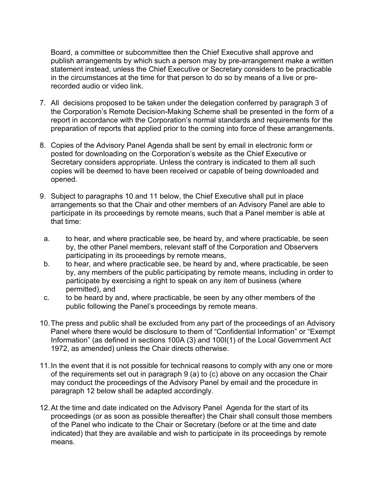Board, a committee or subcommittee then the Chief Executive shall approve and publish arrangements by which such a person may by pre-arrangement make a written statement instead, unless the Chief Executive or Secretary considers to be practicable in the circumstances at the time for that person to do so by means of a live or prerecorded audio or video link.

- 7. All decisions proposed to be taken under the delegation conferred by paragraph 3 of the Corporation's Remote Decision-Making Scheme shall be presented in the form of a report in accordance with the Corporation's normal standards and requirements for the preparation of reports that applied prior to the coming into force of these arrangements.
- 8. Copies of the Advisory Panel Agenda shall be sent by email in electronic form or posted for downloading on the Corporation's website as the Chief Executive or Secretary considers appropriate. Unless the contrary is indicated to them all such copies will be deemed to have been received or capable of being downloaded and opened.
- 9. Subject to paragraphs 10 and 11 below, the Chief Executive shall put in place arrangements so that the Chair and other members of an Advisory Panel are able to participate in its proceedings by remote means, such that a Panel member is able at that time:
- a. to hear, and where practicable see, be heard by, and where practicable, be seen by, the other Panel members, relevant staff of the Corporation and Observers participating in its proceedings by remote means,
- b. to hear, and where practicable see, be heard by and, where practicable, be seen by, any members of the public participating by remote means, including in order to participate by exercising a right to speak on any item of business (where permitted), and
- c. to be heard by and, where practicable, be seen by any other members of the public following the Panel's proceedings by remote means.
- 10.The press and public shall be excluded from any part of the proceedings of an Advisory Panel where there would be disclosure to them of "Confidential Information" or "Exempt Information" (as defined in sections 100A (3) and 100I(1) of the Local Government Act 1972, as amended) unless the Chair directs otherwise.
- 11.In the event that it is not possible for technical reasons to comply with any one or more of the requirements set out in paragraph 9 (a) to (c) above on any occasion the Chair may conduct the proceedings of the Advisory Panel by email and the procedure in paragraph 12 below shall be adapted accordingly.
- 12.At the time and date indicated on the Advisory Panel Agenda for the start of its proceedings (or as soon as possible thereafter) the Chair shall consult those members of the Panel who indicate to the Chair or Secretary (before or at the time and date indicated) that they are available and wish to participate in its proceedings by remote means.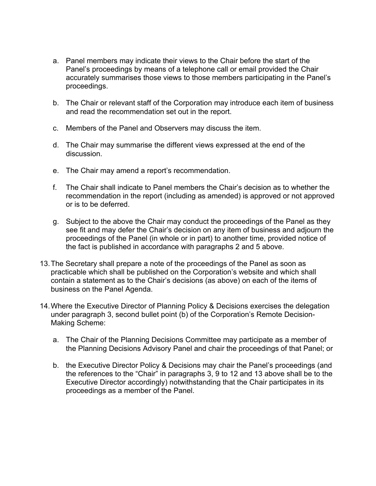- a. Panel members may indicate their views to the Chair before the start of the Panel's proceedings by means of a telephone call or email provided the Chair accurately summarises those views to those members participating in the Panel's proceedings.
- b. The Chair or relevant staff of the Corporation may introduce each item of business and read the recommendation set out in the report.
- c. Members of the Panel and Observers may discuss the item.
- d. The Chair may summarise the different views expressed at the end of the discussion.
- e. The Chair may amend a report's recommendation.
- f. The Chair shall indicate to Panel members the Chair's decision as to whether the recommendation in the report (including as amended) is approved or not approved or is to be deferred.
- g. Subject to the above the Chair may conduct the proceedings of the Panel as they see fit and may defer the Chair's decision on any item of business and adjourn the proceedings of the Panel (in whole or in part) to another time, provided notice of the fact is published in accordance with paragraphs 2 and 5 above.
- 13.The Secretary shall prepare a note of the proceedings of the Panel as soon as practicable which shall be published on the Corporation's website and which shall contain a statement as to the Chair's decisions (as above) on each of the items of business on the Panel Agenda.
- 14.Where the Executive Director of Planning Policy & Decisions exercises the delegation under paragraph 3, second bullet point (b) of the Corporation's Remote Decision-Making Scheme:
	- a. The Chair of the Planning Decisions Committee may participate as a member of the Planning Decisions Advisory Panel and chair the proceedings of that Panel; or
	- b. the Executive Director Policy & Decisions may chair the Panel's proceedings (and the references to the "Chair" in paragraphs 3, 9 to 12 and 13 above shall be to the Executive Director accordingly) notwithstanding that the Chair participates in its proceedings as a member of the Panel.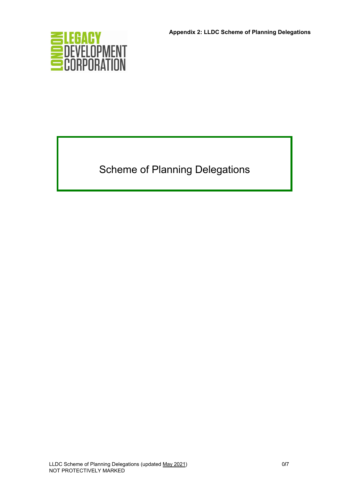

Scheme of Planning Delegations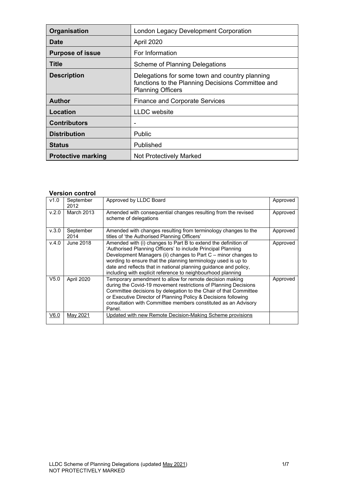| Organisation              | <b>London Legacy Development Corporation</b>                                                                                    |  |
|---------------------------|---------------------------------------------------------------------------------------------------------------------------------|--|
| <b>Date</b>               | April 2020                                                                                                                      |  |
| <b>Purpose of issue</b>   | For Information                                                                                                                 |  |
| Title                     | <b>Scheme of Planning Delegations</b>                                                                                           |  |
| <b>Description</b>        | Delegations for some town and country planning<br>functions to the Planning Decisions Committee and<br><b>Planning Officers</b> |  |
| <b>Author</b>             | <b>Finance and Corporate Services</b>                                                                                           |  |
| Location                  | <b>LLDC</b> website                                                                                                             |  |
| <b>Contributors</b>       |                                                                                                                                 |  |
| <b>Distribution</b>       | <b>Public</b>                                                                                                                   |  |
| <b>Status</b>             | Published                                                                                                                       |  |
| <b>Protective marking</b> | <b>Not Protectively Marked</b>                                                                                                  |  |

### **Version control**

| v1.0  | September<br>2012 | Approved by LLDC Board                                                                                                                                                                                                                                                                                                                                                                               | Approved |
|-------|-------------------|------------------------------------------------------------------------------------------------------------------------------------------------------------------------------------------------------------------------------------------------------------------------------------------------------------------------------------------------------------------------------------------------------|----------|
| V.2.0 | March 2013        | Amended with consequential changes resulting from the revised<br>scheme of delegations                                                                                                                                                                                                                                                                                                               | Approved |
| V.3.0 | September<br>2014 | Amended with changes resulting from terminology changes to the<br>titles of 'the Authorised Planning Officers'                                                                                                                                                                                                                                                                                       | Approved |
| v.4.0 | June 2018         | Amended with (i) changes to Part B to extend the definition of<br>'Authorised Planning Officers' to include Principal Planning<br>Development Managers (ii) changes to Part C - minor changes to<br>wording to ensure that the planning terminology used is up to<br>date and reflects that in national planning guidance and policy,<br>including with explicit reference to neighbourhood planning | Approved |
| V5.0  | April 2020        | Temporary amendment to allow for remote decision making<br>during the Covid-19 movement restrictions of Planning Decisions<br>Committee decisions by delegation to the Chair of that Committee<br>or Executive Director of Planning Policy & Decisions following<br>consultation with Committee members constituted as an Advisory<br>Panel.                                                         | Approved |
| V6.0  | May 2021          | Updated with new Remote Decision-Making Scheme provisions                                                                                                                                                                                                                                                                                                                                            |          |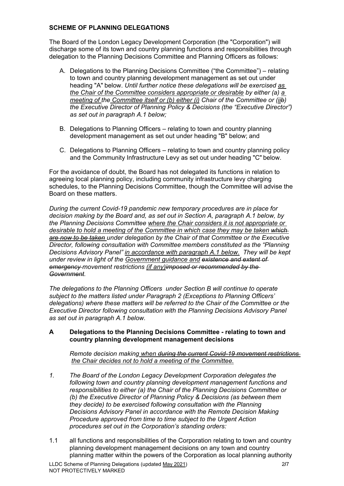### **SCHEME OF PLANNING DELEGATIONS**

The Board of the London Legacy Development Corporation (the "Corporation") will discharge some of its town and country planning functions and responsibilities through delegation to the Planning Decisions Committee and Planning Officers as follows:

- A. Delegations to the Planning Decisions Committee ("the Committee") relating to town and country planning development management as set out under heading "A" below. *Until further notice these delegations will be exercised as the Chair of the Committee considers appropriate or desirable by either (a) a meeting of the Committee itself or (b) either (i) Chair of the Committee or (iib) the Executive Director of Planning Policy & Decisions (the "Executive Director") as set out in paragraph A.1 below;*
- B. Delegations to Planning Officers relating to town and country planning development management as set out under heading "B" below; and
- C. Delegations to Planning Officers relating to town and country planning policy and the Community Infrastructure Levy as set out under heading "C" below.

For the avoidance of doubt, the Board has not delegated its functions in relation to agreeing local planning policy, including community infrastructure levy charging schedules, to the Planning Decisions Committee, though the Committee will advise the Board on these matters.

*During the current Covid-19 pandemic new temporary procedures are in place for decision making by the Board and, as set out in Section A, paragraph A.1 below, by the Planning Decisions Committee where the Chair considers it is not appropriate or desirable to hold a meeting of the Committee in which case they may be taken which are now to be taken under delegation by the Chair of that Committee or the Executive Director, following consultation with Committee members constituted as the "Planning Decisions Advisory Panel" in accordance with paragraph A.1 below. They will be kept under review in light of the Government guidance and existence and extent of emergency movement restrictions (if any)imposed or recommended by the Government.* 

*The delegations to the Planning Officers under Section B will continue to operate subject to the matters listed under Paragraph 2 (Exceptions to Planning Officers' delegations) where these matters will be referred to the Chair of the Committee or the Executive Director following consultation with the Planning Decisions Advisory Panel as set out in paragraph A.1 below.* 

### **A Delegations to the Planning Decisions Committee - relating to town and country planning development management decisions**

*Remote decision making when during the current Covid-19 movement restrictions the Chair decides not to hold a meeting of the Committee.* 

- *1. The Board of the London Legacy Development Corporation delegates the following town and country planning development management functions and responsibilities to either (a) the Chair of the Planning Decisions Committee or (b) the Executive Director of Planning Policy & Decisions (as between them they decide) to be exercised following consultation with the Planning Decisions Advisory Panel in accordance with the Remote Decision Making Procedure approved from time to time subject to the Urgent Action procedures set out in the Corporation's standing orders:*
- 1.1 all functions and responsibilities of the Corporation relating to town and country planning development management decisions on any town and country planning matter within the powers of the Corporation as local planning authority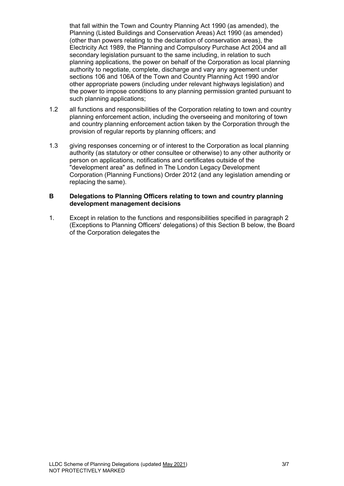that fall within the Town and Country Planning Act 1990 (as amended), the Planning (Listed Buildings and Conservation Areas) Act 1990 (as amended) (other than powers relating to the declaration of conservation areas), the Electricity Act 1989, the Planning and Compulsory Purchase Act 2004 and all secondary legislation pursuant to the same including, in relation to such planning applications, the power on behalf of the Corporation as local planning authority to negotiate, complete, discharge and vary any agreement under sections 106 and 106A of the Town and Country Planning Act 1990 and/or other appropriate powers (including under relevant highways legislation) and the power to impose conditions to any planning permission granted pursuant to such planning applications;

- 1.2 all functions and responsibilities of the Corporation relating to town and country planning enforcement action, including the overseeing and monitoring of town and country planning enforcement action taken by the Corporation through the provision of regular reports by planning officers; and
- 1.3 giving responses concerning or of interest to the Corporation as local planning authority (as statutory or other consultee or otherwise) to any other authority or person on applications, notifications and certificates outside of the "development area" as defined in The London Legacy Development Corporation (Planning Functions) Order 2012 (and any legislation amending or replacing the same).

#### **B Delegations to Planning Officers relating to town and country planning development management decisions**

1. Except in relation to the functions and responsibilities specified in paragraph 2 (Exceptions to Planning Officers' delegations) of this Section B below, the Board of the Corporation delegates the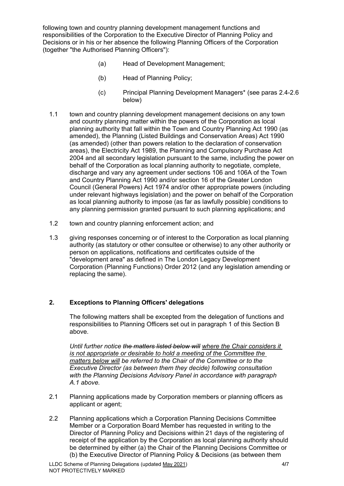following town and country planning development management functions and responsibilities of the Corporation to the Executive Director of Planning Policy and Decisions or in his or her absence the following Planning Officers of the Corporation (together "the Authorised Planning Officers"):

- (a) Head of Development Management;
- (b) Head of Planning Policy;
- (c) Principal Planning Development Managers\* (see paras 2.4-2.6 below)
- 1.1 town and country planning development management decisions on any town and country planning matter within the powers of the Corporation as local planning authority that fall within the Town and Country Planning Act 1990 (as amended), the Planning (Listed Buildings and Conservation Areas) Act 1990 (as amended) (other than powers relation to the declaration of conservation areas), the Electricity Act 1989, the Planning and Compulsory Purchase Act 2004 and all secondary legislation pursuant to the same, including the power on behalf of the Corporation as local planning authority to negotiate, complete, discharge and vary any agreement under sections 106 and 106A of the Town and Country Planning Act 1990 and/or section 16 of the Greater London Council (General Powers) Act 1974 and/or other appropriate powers (including under relevant highways legislation) and the power on behalf of the Corporation as local planning authority to impose (as far as lawfully possible) conditions to any planning permission granted pursuant to such planning applications; and
- 1.2 town and country planning enforcement action; and
- 1.3 giving responses concerning or of interest to the Corporation as local planning authority (as statutory or other consultee or otherwise) to any other authority or person on applications, notifications and certificates outside of the "development area" as defined in The London Legacy Development Corporation (Planning Functions) Order 2012 (and any legislation amending or replacing the same).

### **2. Exceptions to Planning Officers' delegations**

The following matters shall be excepted from the delegation of functions and responsibilities to Planning Officers set out in paragraph 1 of this Section B above.

*Until further notice the matters listed below will where the Chair considers it is not appropriate or desirable to hold a meeting of the Committee the matters below will be referred to the Chair of the Committee or to the Executive Director (as between them they decide) following consultation with the Planning Decisions Advisory Panel in accordance with paragraph A.1 above.*

- 2.1 Planning applications made by Corporation members or planning officers as applicant or agent;
- 2.2 Planning applications which a Corporation Planning Decisions Committee Member or a Corporation Board Member has requested in writing to the Director of Planning Policy and Decisions within 21 days of the registering of receipt of the application by the Corporation as local planning authority should be determined by either (a) the Chair of the Planning Decisions Committee or (b) the Executive Director of Planning Policy & Decisions (as between them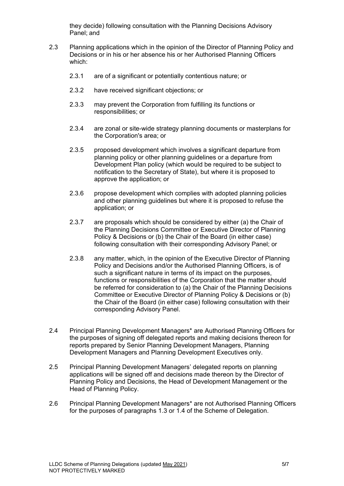they decide) following consultation with the Planning Decisions Advisory Panel; and

- 2.3 Planning applications which in the opinion of the Director of Planning Policy and Decisions or in his or her absence his or her Authorised Planning Officers which:
	- 2.3.1 are of a significant or potentially contentious nature; or
	- 2.3.2 have received significant objections; or
	- 2.3.3 may prevent the Corporation from fulfilling its functions or responsibilities; or
	- 2.3.4 are zonal or site-wide strategy planning documents or masterplans for the Corporation's area; or
	- 2.3.5 proposed development which involves a significant departure from planning policy or other planning guidelines or a departure from Development Plan policy (which would be required to be subject to notification to the Secretary of State), but where it is proposed to approve the application; or
	- 2.3.6 propose development which complies with adopted planning policies and other planning guidelines but where it is proposed to refuse the application; or
	- 2.3.7 are proposals which should be considered by either (a) the Chair of the Planning Decisions Committee or Executive Director of Planning Policy & Decisions or (b) the Chair of the Board (in either case) following consultation with their corresponding Advisory Panel; or
	- 2.3.8 any matter, which, in the opinion of the Executive Director of Planning Policy and Decisions and/or the Authorised Planning Officers, is of such a significant nature in terms of its impact on the purposes, functions or responsibilities of the Corporation that the matter should be referred for consideration to (a) the Chair of the Planning Decisions Committee or Executive Director of Planning Policy & Decisions or (b) the Chair of the Board (in either case) following consultation with their corresponding Advisory Panel.
- 2.4 Principal Planning Development Managers\* are Authorised Planning Officers for the purposes of signing off delegated reports and making decisions thereon for reports prepared by Senior Planning Development Managers, Planning Development Managers and Planning Development Executives only.
- 2.5 Principal Planning Development Managers' delegated reports on planning applications will be signed off and decisions made thereon by the Director of Planning Policy and Decisions, the Head of Development Management or the Head of Planning Policy.
- 2.6 Principal Planning Development Managers\* are not Authorised Planning Officers for the purposes of paragraphs 1.3 or 1.4 of the Scheme of Delegation.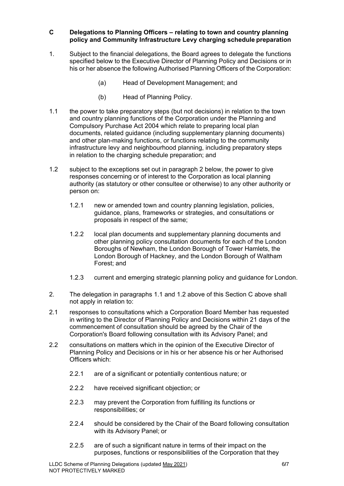### **C Delegations to Planning Officers – relating to town and country planning policy and Community Infrastructure Levy charging schedule preparation**

- 1. Subject to the financial delegations, the Board agrees to delegate the functions specified below to the Executive Director of Planning Policy and Decisions or in his or her absence the following Authorised Planning Officers of the Corporation:
	- (a) Head of Development Management; and
	- (b) Head of Planning Policy.
- 1.1 the power to take preparatory steps (but not decisions) in relation to the town and country planning functions of the Corporation under the Planning and Compulsory Purchase Act 2004 which relate to preparing local plan documents, related guidance (including supplementary planning documents) and other plan-making functions, or functions relating to the community infrastructure levy and neighbourhood planning, including preparatory steps in relation to the charging schedule preparation; and
- 1.2 subject to the exceptions set out in paragraph 2 below, the power to give responses concerning or of interest to the Corporation as local planning authority (as statutory or other consultee or otherwise) to any other authority or person on:
	- 1.2.1 new or amended town and country planning legislation, policies, guidance, plans, frameworks or strategies, and consultations or proposals in respect of the same;
	- 1.2.2 local plan documents and supplementary planning documents and other planning policy consultation documents for each of the London Boroughs of Newham, the London Borough of Tower Hamlets, the London Borough of Hackney, and the London Borough of Waltham Forest; and
	- 1.2.3 current and emerging strategic planning policy and guidance for London.
- 2. The delegation in paragraphs 1.1 and 1.2 above of this Section C above shall not apply in relation to:
- 2.1 responses to consultations which a Corporation Board Member has requested in writing to the Director of Planning Policy and Decisions within 21 days of the commencement of consultation should be agreed by the Chair of the Corporation's Board following consultation with its Advisory Panel; and
- 2.2 consultations on matters which in the opinion of the Executive Director of Planning Policy and Decisions or in his or her absence his or her Authorised Officers which:
	- 2.2.1 are of a significant or potentially contentious nature; or
	- 2.2.2 have received significant objection; or
	- 2.2.3 may prevent the Corporation from fulfilling its functions or responsibilities; or
	- 2.2.4 should be considered by the Chair of the Board following consultation with its Advisory Panel; or
	- 2.2.5 are of such a significant nature in terms of their impact on the purposes, functions or responsibilities of the Corporation that they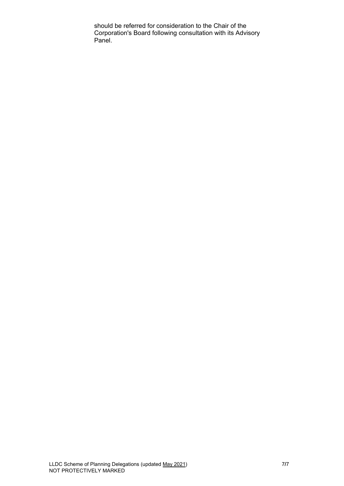should be referred for consideration to the Chair of the Corporation's Board following consultation with its Advisory Panel.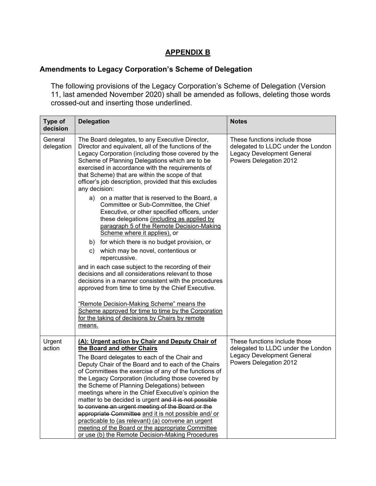## **APPENDIX B**

## **Amendments to Legacy Corporation's Scheme of Delegation**

The following provisions of the Legacy Corporation's Scheme of Delegation (Version 11, last amended November 2020) shall be amended as follows, deleting those words crossed-out and inserting those underlined.

| Type of<br>decision   | <b>Delegation</b>                                                                                                                                                                                                                                                                                                                                                                                                                                                                                                                                                                                                                                                                                                                             | <b>Notes</b>                                                                                                                       |  |
|-----------------------|-----------------------------------------------------------------------------------------------------------------------------------------------------------------------------------------------------------------------------------------------------------------------------------------------------------------------------------------------------------------------------------------------------------------------------------------------------------------------------------------------------------------------------------------------------------------------------------------------------------------------------------------------------------------------------------------------------------------------------------------------|------------------------------------------------------------------------------------------------------------------------------------|--|
| General<br>delegation | The Board delegates, to any Executive Director,<br>Director and equivalent, all of the functions of the<br>Legacy Corporation (including those covered by the<br>Scheme of Planning Delegations which are to be<br>exercised in accordance with the requirements of<br>that Scheme) that are within the scope of that<br>officer's job description, provided that this excludes<br>any decision:<br>a) on a matter that is reserved to the Board, a<br>Committee or Sub-Committee, the Chief<br>Executive, or other specified officers, under<br>these delegations (including as applied by<br>paragraph 5 of the Remote Decision-Making<br>Scheme where it applies), or                                                                      | These functions include those<br>delegated to LLDC under the London<br><b>Legacy Development General</b><br>Powers Delegation 2012 |  |
|                       | b) for which there is no budget provision, or<br>c) which may be novel, contentious or<br>repercussive.<br>and in each case subject to the recording of their<br>decisions and all considerations relevant to those<br>decisions in a manner consistent with the procedures<br>approved from time to time by the Chief Executive.<br>"Remote Decision-Making Scheme" means the<br>Scheme approved for time to time by the Corporation<br>for the taking of decisions by Chairs by remote<br>means.                                                                                                                                                                                                                                            |                                                                                                                                    |  |
| Urgent<br>action      | (A): Urgent action by Chair and Deputy Chair of<br>the Board and other Chairs<br>The Board delegates to each of the Chair and<br>Deputy Chair of the Board and to each of the Chairs<br>of Committees the exercise of any of the functions of<br>the Legacy Corporation (including those covered by<br>the Scheme of Planning Delegations) between<br>meetings where in the Chief Executive's opinion the<br>matter to be decided is urgent and it is not possible<br>to convene an urgent meeting of the Board or the<br>appropriate Committee and it is not possible and/ or<br>practicable to (as relevant) (a) convene an urgent<br>meeting of the Board or the appropriate Committee<br>or use (b) the Remote Decision-Making Procedures | These functions include those<br>delegated to LLDC under the London<br><b>Legacy Development General</b><br>Powers Delegation 2012 |  |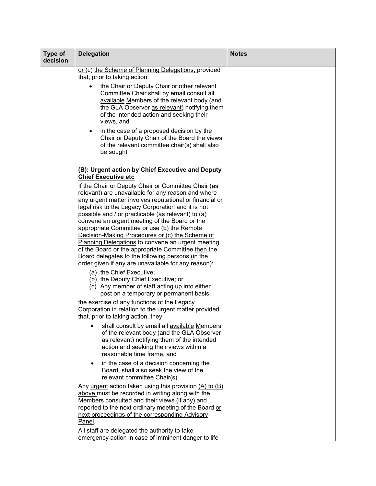| Type of<br>decision | <b>Delegation</b>                                                                                                                                                                                                                                                                                                                                                                                                                                                                                                                                     | <b>Notes</b> |
|---------------------|-------------------------------------------------------------------------------------------------------------------------------------------------------------------------------------------------------------------------------------------------------------------------------------------------------------------------------------------------------------------------------------------------------------------------------------------------------------------------------------------------------------------------------------------------------|--------------|
|                     | or (c) the Scheme of Planning Delegations, provided<br>that, prior to taking action:                                                                                                                                                                                                                                                                                                                                                                                                                                                                  |              |
|                     | the Chair or Deputy Chair or other relevant<br>Committee Chair shall by email consult all<br>available Members of the relevant body (and<br>the GLA Observer as relevant) notifying them<br>of the intended action and seeking their<br>views, and                                                                                                                                                                                                                                                                                                    |              |
|                     | in the case of a proposed decision by the<br>$\bullet$<br>Chair or Deputy Chair of the Board the views<br>of the relevant committee chair(s) shall also<br>be sought                                                                                                                                                                                                                                                                                                                                                                                  |              |
|                     | (B): Urgent action by Chief Executive and Deputy<br><b>Chief Executive etc</b>                                                                                                                                                                                                                                                                                                                                                                                                                                                                        |              |
|                     | If the Chair or Deputy Chair or Committee Chair (as<br>relevant) are unavailable for any reason and where<br>any urgent matter involves reputational or financial or<br>legal risk to the Legacy Corporation and it is not<br>possible and / or practicable (as relevant) to (a)<br>convene an urgent meeting of the Board or the<br>appropriate Committee or use (b) the Remote<br>Decision-Making Procedures or (c) the Scheme of<br><b>Planning Delegations to convene an urgent meeting</b><br>of the Board or the appropriate Committee then the |              |
|                     | Board delegates to the following persons (in the<br>order given if any are unavailable for any reason):                                                                                                                                                                                                                                                                                                                                                                                                                                               |              |
|                     | (a) the Chief Executive;<br>(b) the Deputy Chief Executive; or<br>(c) Any member of staff acting up into either<br>post on a temporary or permanent basis                                                                                                                                                                                                                                                                                                                                                                                             |              |
|                     | the exercise of any functions of the Legacy<br>Corporation in relation to the urgent matter provided<br>that, prior to taking action, they:                                                                                                                                                                                                                                                                                                                                                                                                           |              |
|                     | shall consult by email all available Members<br>of the relevant body (and the GLA Observer<br>as relevant) notifying them of the intended<br>action and seeking their views within a<br>reasonable time frame, and                                                                                                                                                                                                                                                                                                                                    |              |
|                     | in the case of a decision concerning the<br>Board, shall also seek the view of the<br>relevant committee Chair(s).                                                                                                                                                                                                                                                                                                                                                                                                                                    |              |
|                     | Any urgent action taken using this provision $(A)$ to $(B)$<br>above must be recorded in writing along with the<br>Members consulted and their views (if any) and<br>reported to the next ordinary meeting of the Board or<br>next proceedings of the corresponding Advisory<br>Panel.                                                                                                                                                                                                                                                                |              |
|                     | All staff are delegated the authority to take<br>emergency action in case of imminent danger to life                                                                                                                                                                                                                                                                                                                                                                                                                                                  |              |